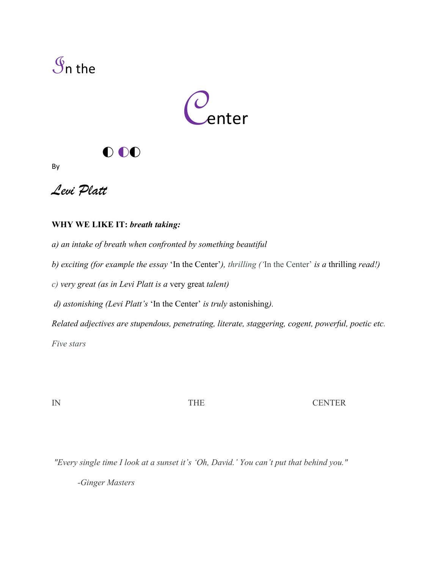



## o oo

By



## **WHY WE LIKE IT:** *breath taking:*

*a) an intake of breath when confronted by something beautiful* 

*b) exciting (for example the essay* 'In the Center'*), thrilling ('*In the Center' *is a* thrilling *read!)*

*c) very great (as in Levi Platt is a* very great *talent)*

*d) astonishing (Levi Platt's* 'In the Center' *is truly* astonishing*).* 

*Related adjectives are stupendous, penetrating, literate, staggering, cogent, powerful, poetic etc. Five stars*

IN THE CENTER

*"Every single time I look at a sunset it's 'Oh, David.' You can't put that behind you."*

*-Ginger Masters*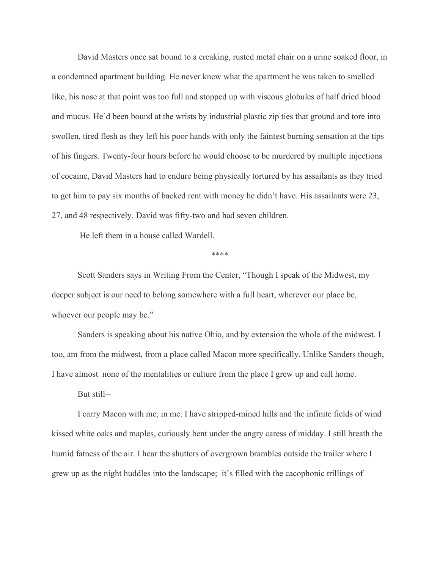David Masters once sat bound to a creaking, rusted metal chair on a urine soaked floor, in a condemned apartment building. He never knew what the apartment he was taken to smelled like, his nose at that point was too full and stopped up with viscous globules of half dried blood and mucus. He'd been bound at the wrists by industrial plastic zip ties that ground and tore into swollen, tired flesh as they left his poor hands with only the faintest burning sensation at the tips of his fingers. Twenty-four hours before he would choose to be murdered by multiple injections of cocaine, David Masters had to endure being physically tortured by his assailants as they tried to get him to pay six months of backed rent with money he didn't have. His assailants were 23, 27, and 48 respectively. David was fifty-two and had seven children.

He left them in a house called Wardell.

\*\*\*\*

Scott Sanders says in Writing From the Center, "Though I speak of the Midwest, my deeper subject is our need to belong somewhere with a full heart, wherever our place be, whoever our people may be."

Sanders is speaking about his native Ohio, and by extension the whole of the midwest. I too, am from the midwest, from a place called Macon more specifically. Unlike Sanders though, I have almost none of the mentalities or culture from the place I grew up and call home.

But still--

I carry Macon with me, in me. I have stripped-mined hills and the infinite fields of wind kissed white oaks and maples, curiously bent under the angry caress of midday. I still breath the humid fatness of the air. I hear the shutters of overgrown brambles outside the trailer where I grew up as the night huddles into the landscape; it's filled with the cacophonic trillings of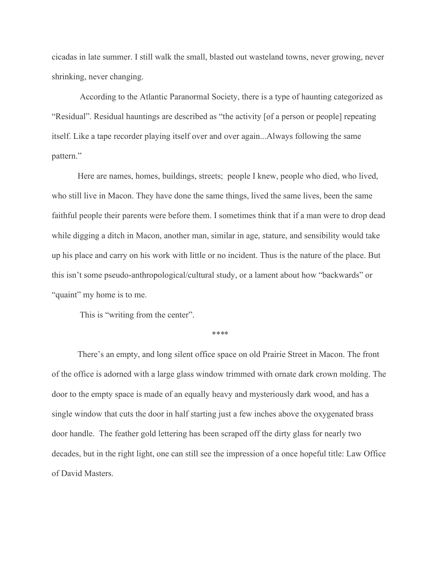cicadas in late summer. I still walk the small, blasted out wasteland towns, never growing, never shrinking, never changing.

According to the Atlantic Paranormal Society, there is a type of haunting categorized as "Residual". Residual hauntings are described as "the activity [of a person or people] repeating itself. Like a tape recorder playing itself over and over again...Always following the same pattern."

Here are names, homes, buildings, streets; people I knew, people who died, who lived, who still live in Macon. They have done the same things, lived the same lives, been the same faithful people their parents were before them. I sometimes think that if a man were to drop dead while digging a ditch in Macon, another man, similar in age, stature, and sensibility would take up his place and carry on his work with little or no incident. Thus is the nature of the place. But this isn't some pseudo-anthropological/cultural study, or a lament about how "backwards" or "quaint" my home is to me.

This is "writing from the center".

*\*\*\**\*

There's an empty, and long silent office space on old Prairie Street in Macon. The front of the office is adorned with a large glass window trimmed with ornate dark crown molding. The door to the empty space is made of an equally heavy and mysteriously dark wood, and has a single window that cuts the door in half starting just a few inches above the oxygenated brass door handle. The feather gold lettering has been scraped off the dirty glass for nearly two decades, but in the right light, one can still see the impression of a once hopeful title: Law Office of David Masters.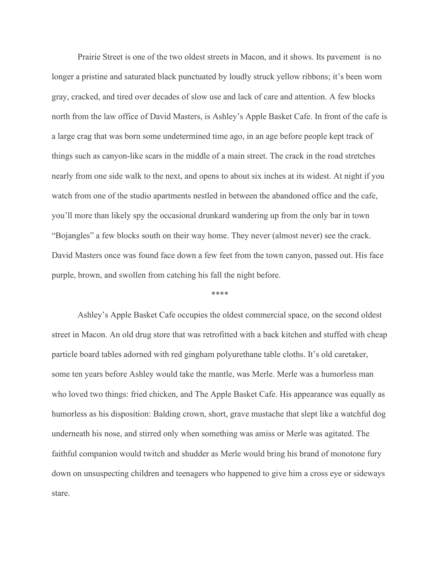Prairie Street is one of the two oldest streets in Macon, and it shows. Its pavement is no longer a pristine and saturated black punctuated by loudly struck yellow ribbons; it's been worn gray, cracked, and tired over decades of slow use and lack of care and attention. A few blocks north from the law office of David Masters, is Ashley's Apple Basket Cafe. In front of the cafe is a large crag that was born some undetermined time ago, in an age before people kept track of things such as canyon-like scars in the middle of a main street. The crack in the road stretches nearly from one side walk to the next, and opens to about six inches at its widest. At night if you watch from one of the studio apartments nestled in between the abandoned office and the cafe, you'll more than likely spy the occasional drunkard wandering up from the only bar in town "Bojangles" a few blocks south on their way home. They never (almost never) see the crack. David Masters once was found face down a few feet from the town canyon, passed out. His face purple, brown, and swollen from catching his fall the night before.

## \*\*\*\*

Ashley's Apple Basket Cafe occupies the oldest commercial space, on the second oldest street in Macon. An old drug store that was retrofitted with a back kitchen and stuffed with cheap particle board tables adorned with red gingham polyurethane table cloths. It's old caretaker, some ten years before Ashley would take the mantle, was Merle. Merle was a humorless man who loved two things: fried chicken, and The Apple Basket Cafe. His appearance was equally as humorless as his disposition: Balding crown, short, grave mustache that slept like a watchful dog underneath his nose, and stirred only when something was amiss or Merle was agitated. The faithful companion would twitch and shudder as Merle would bring his brand of monotone fury down on unsuspecting children and teenagers who happened to give him a cross eye or sideways stare.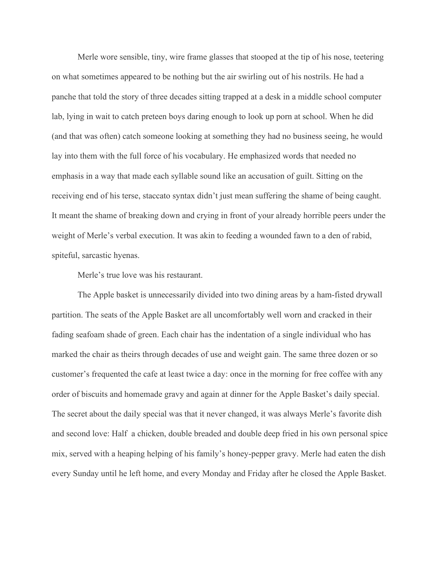Merle wore sensible, tiny, wire frame glasses that stooped at the tip of his nose, teetering on what sometimes appeared to be nothing but the air swirling out of his nostrils. He had a panche that told the story of three decades sitting trapped at a desk in a middle school computer lab, lying in wait to catch preteen boys daring enough to look up porn at school. When he did (and that was often) catch someone looking at something they had no business seeing, he would lay into them with the full force of his vocabulary. He emphasized words that needed no emphasis in a way that made each syllable sound like an accusation of guilt. Sitting on the receiving end of his terse, staccato syntax didn't just mean suffering the shame of being caught. It meant the shame of breaking down and crying in front of your already horrible peers under the weight of Merle's verbal execution. It was akin to feeding a wounded fawn to a den of rabid, spiteful, sarcastic hyenas.

Merle's true love was his restaurant.

The Apple basket is unnecessarily divided into two dining areas by a ham-fisted drywall partition. The seats of the Apple Basket are all uncomfortably well worn and cracked in their fading seafoam shade of green. Each chair has the indentation of a single individual who has marked the chair as theirs through decades of use and weight gain. The same three dozen or so customer's frequented the cafe at least twice a day: once in the morning for free coffee with any order of biscuits and homemade gravy and again at dinner for the Apple Basket's daily special. The secret about the daily special was that it never changed, it was always Merle's favorite dish and second love: Half a chicken, double breaded and double deep fried in his own personal spice mix, served with a heaping helping of his family's honey-pepper gravy. Merle had eaten the dish every Sunday until he left home, and every Monday and Friday after he closed the Apple Basket.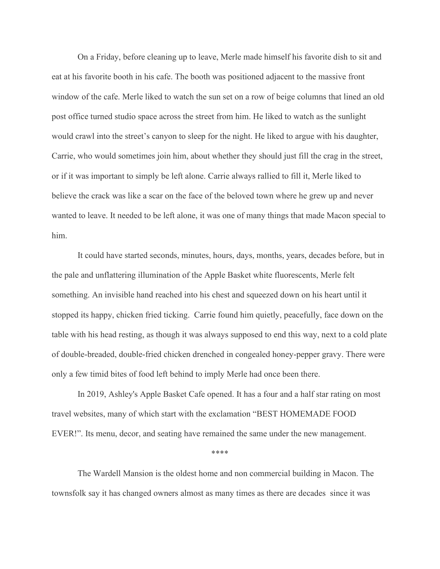On a Friday, before cleaning up to leave, Merle made himself his favorite dish to sit and eat at his favorite booth in his cafe. The booth was positioned adjacent to the massive front window of the cafe. Merle liked to watch the sun set on a row of beige columns that lined an old post office turned studio space across the street from him. He liked to watch as the sunlight would crawl into the street's canyon to sleep for the night. He liked to argue with his daughter, Carrie, who would sometimes join him, about whether they should just fill the crag in the street, or if it was important to simply be left alone. Carrie always rallied to fill it, Merle liked to believe the crack was like a scar on the face of the beloved town where he grew up and never wanted to leave. It needed to be left alone, it was one of many things that made Macon special to him.

It could have started seconds, minutes, hours, days, months, years, decades before, but in the pale and unflattering illumination of the Apple Basket white fluorescents, Merle felt something. An invisible hand reached into his chest and squeezed down on his heart until it stopped its happy, chicken fried ticking. Carrie found him quietly, peacefully, face down on the table with his head resting, as though it was always supposed to end this way, next to a cold plate of double-breaded, double-fried chicken drenched in congealed honey-pepper gravy. There were only a few timid bites of food left behind to imply Merle had once been there.

In 2019, Ashley's Apple Basket Cafe opened. It has a four and a half star rating on most travel websites, many of which start with the exclamation "BEST HOMEMADE FOOD EVER!". Its menu, decor, and seating have remained the same under the new management.

\*\*\*\*

The Wardell Mansion is the oldest home and non commercial building in Macon. The townsfolk say it has changed owners almost as many times as there are decades since it was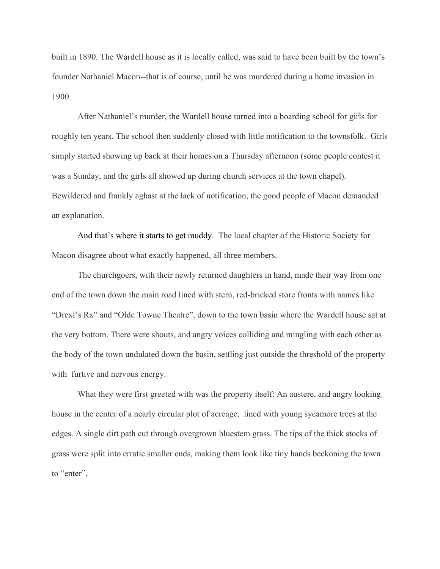built in 1890. The Wardell house as it is locally called, was said to have been built by the town's founder Nathaniel Macon--that is of course, until he was murdered during a home invasion in 1900.

After Nathaniel's murder, the Wardell house turned into a boarding school for girls for roughly ten years. The school then suddenly closed with little notification to the townsfolk. Girls simply started showing up back at their homes on a Thursday afternoon (some people contest it was a Sunday, and the girls all showed up during church services at the town chapel). Bewildered and frankly aghast at the lack of notification, the good people of Macon demanded an explanation.

And that's where it starts to get muddy. The local chapter of the Historic Society for Macon disagree about what exactly happened, all three members.

The churchgoers, with their newly returned daughters in hand, made their way from one end of the town down the main road lined with stern, red-bricked store fronts with names like "Drexl's Rx" and "Olde Towne Theatre", down to the town basin where the Wardell house sat at the very bottom. There were shouts, and angry voices colliding and mingling with each other as the body of the town undulated down the basin, settling just outside the threshold of the property with furtive and nervous energy.

What they were first greeted with was the property itself: An austere, and angry looking house in the center of a nearly circular plot of acreage, lined with young sycamore trees at the edges. A single dirt path cut through overgrown bluestem grass. The tips of the thick stocks of grass were split into erratic smaller ends, making them look like tiny hands beckoning the town to "enter".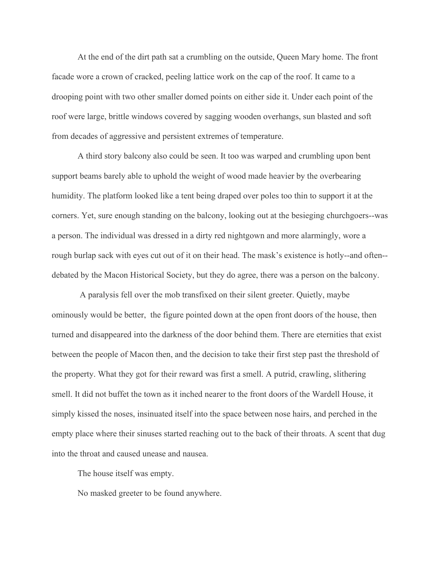At the end of the dirt path sat a crumbling on the outside, Queen Mary home. The front facade wore a crown of cracked, peeling lattice work on the cap of the roof. It came to a drooping point with two other smaller domed points on either side it. Under each point of the roof were large, brittle windows covered by sagging wooden overhangs, sun blasted and soft from decades of aggressive and persistent extremes of temperature.

A third story balcony also could be seen. It too was warped and crumbling upon bent support beams barely able to uphold the weight of wood made heavier by the overbearing humidity. The platform looked like a tent being draped over poles too thin to support it at the corners. Yet, sure enough standing on the balcony, looking out at the besieging churchgoers--was a person. The individual was dressed in a dirty red nightgown and more alarmingly, wore a rough burlap sack with eyes cut out of it on their head. The mask's existence is hotly--and often- debated by the Macon Historical Society, but they do agree, there was a person on the balcony.

A paralysis fell over the mob transfixed on their silent greeter. Quietly, maybe ominously would be better, the figure pointed down at the open front doors of the house, then turned and disappeared into the darkness of the door behind them. There are eternities that exist between the people of Macon then, and the decision to take their first step past the threshold of the property. What they got for their reward was first a smell. A putrid, crawling, slithering smell. It did not buffet the town as it inched nearer to the front doors of the Wardell House, it simply kissed the noses, insinuated itself into the space between nose hairs, and perched in the empty place where their sinuses started reaching out to the back of their throats. A scent that dug into the throat and caused unease and nausea.

The house itself was empty.

No masked greeter to be found anywhere.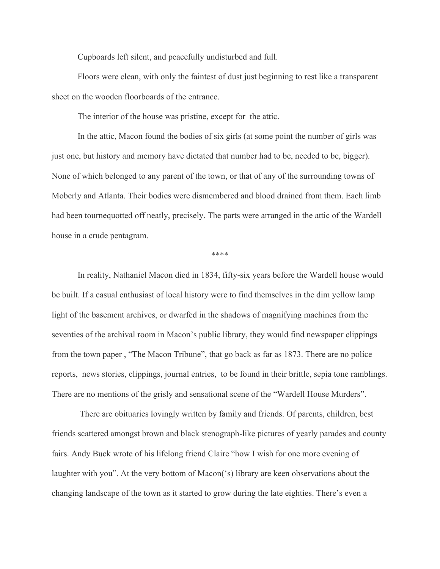Cupboards left silent, and peacefully undisturbed and full.

Floors were clean, with only the faintest of dust just beginning to rest like a transparent sheet on the wooden floorboards of the entrance.

The interior of the house was pristine, except for the attic.

In the attic, Macon found the bodies of six girls (at some point the number of girls was just one, but history and memory have dictated that number had to be, needed to be, bigger). None of which belonged to any parent of the town, or that of any of the surrounding towns of Moberly and Atlanta. Their bodies were dismembered and blood drained from them. Each limb had been tournequotted off neatly, precisely. The parts were arranged in the attic of the Wardell house in a crude pentagram.

\*\*\*\*

In reality, Nathaniel Macon died in 1834, fifty-six years before the Wardell house would be built. If a casual enthusiast of local history were to find themselves in the dim yellow lamp light of the basement archives, or dwarfed in the shadows of magnifying machines from the seventies of the archival room in Macon's public library, they would find newspaper clippings from the town paper , "The Macon Tribune", that go back as far as 1873. There are no police reports, news stories, clippings, journal entries, to be found in their brittle, sepia tone ramblings. There are no mentions of the grisly and sensational scene of the "Wardell House Murders".

There are obituaries lovingly written by family and friends. Of parents, children, best friends scattered amongst brown and black stenograph-like pictures of yearly parades and county fairs. Andy Buck wrote of his lifelong friend Claire "how I wish for one more evening of laughter with you". At the very bottom of Macon('s) library are keen observations about the changing landscape of the town as it started to grow during the late eighties. There's even a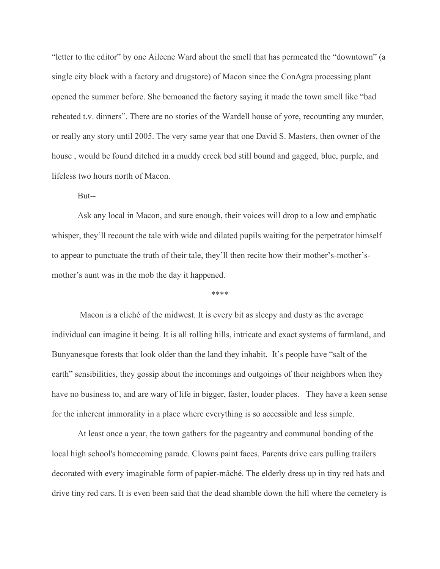"letter to the editor" by one Aileene Ward about the smell that has permeated the "downtown" (a single city block with a factory and drugstore) of Macon since the ConAgra processing plant opened the summer before. She bemoaned the factory saying it made the town smell like "bad reheated t.v. dinners". There are no stories of the Wardell house of yore, recounting any murder, or really any story until 2005. The very same year that one David S. Masters, then owner of the house , would be found ditched in a muddy creek bed still bound and gagged, blue, purple, and lifeless two hours north of Macon.

But--

Ask any local in Macon, and sure enough, their voices will drop to a low and emphatic whisper, they'll recount the tale with wide and dilated pupils waiting for the perpetrator himself to appear to punctuate the truth of their tale, they'll then recite how their mother's-mother'smother's aunt was in the mob the day it happened.

\*\*\*\*

Macon is a cliché of the midwest. It is every bit as sleepy and dusty as the average individual can imagine it being. It is all rolling hills, intricate and exact systems of farmland, and Bunyanesque forests that look older than the land they inhabit. It's people have "salt of the earth" sensibilities, they gossip about the incomings and outgoings of their neighbors when they have no business to, and are wary of life in bigger, faster, louder places. They have a keen sense for the inherent immorality in a place where everything is so accessible and less simple.

At least once a year, the town gathers for the pageantry and communal bonding of the local high school's homecoming parade. Clowns paint faces. Parents drive cars pulling trailers decorated with every imaginable form of papier-mâché. The elderly dress up in tiny red hats and drive tiny red cars. It is even been said that the dead shamble down the hill where the cemetery is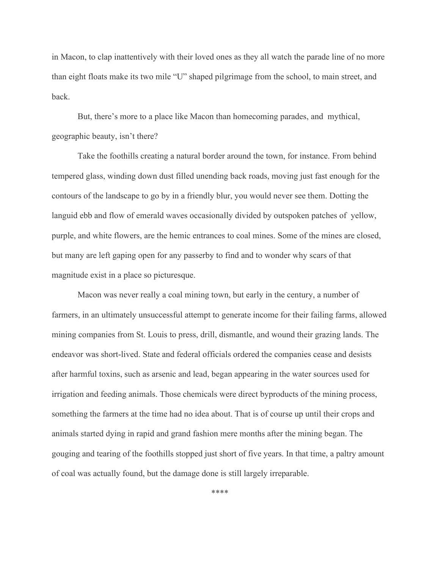in Macon, to clap inattentively with their loved ones as they all watch the parade line of no more than eight floats make its two mile "U" shaped pilgrimage from the school, to main street, and back.

But, there's more to a place like Macon than homecoming parades, and mythical, geographic beauty, isn't there?

Take the foothills creating a natural border around the town, for instance. From behind tempered glass, winding down dust filled unending back roads, moving just fast enough for the contours of the landscape to go by in a friendly blur, you would never see them. Dotting the languid ebb and flow of emerald waves occasionally divided by outspoken patches of yellow, purple, and white flowers, are the hemic entrances to coal mines. Some of the mines are closed, but many are left gaping open for any passerby to find and to wonder why scars of that magnitude exist in a place so picturesque.

Macon was never really a coal mining town, but early in the century, a number of farmers, in an ultimately unsuccessful attempt to generate income for their failing farms, allowed mining companies from St. Louis to press, drill, dismantle, and wound their grazing lands. The endeavor was short-lived. State and federal officials ordered the companies cease and desists after harmful toxins, such as arsenic and lead, began appearing in the water sources used for irrigation and feeding animals. Those chemicals were direct byproducts of the mining process, something the farmers at the time had no idea about. That is of course up until their crops and animals started dying in rapid and grand fashion mere months after the mining began. The gouging and tearing of the foothills stopped just short of five years. In that time, a paltry amount of coal was actually found, but the damage done is still largely irreparable.

\*\*\*\*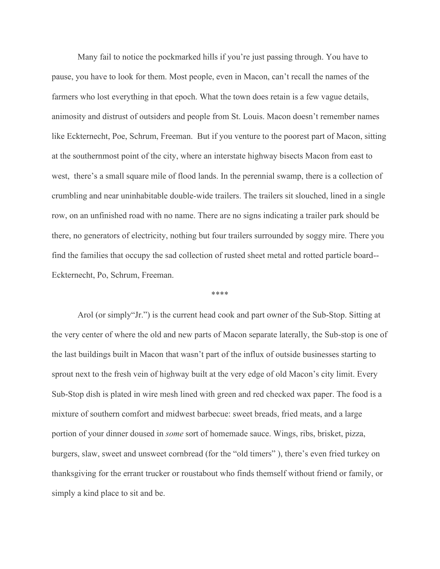Many fail to notice the pockmarked hills if you're just passing through. You have to pause, you have to look for them. Most people, even in Macon, can't recall the names of the farmers who lost everything in that epoch. What the town does retain is a few vague details, animosity and distrust of outsiders and people from St. Louis. Macon doesn't remember names like Eckternecht, Poe, Schrum, Freeman. But if you venture to the poorest part of Macon, sitting at the southernmost point of the city, where an interstate highway bisects Macon from east to west, there's a small square mile of flood lands. In the perennial swamp, there is a collection of crumbling and near uninhabitable double-wide trailers. The trailers sit slouched, lined in a single row, on an unfinished road with no name. There are no signs indicating a trailer park should be there, no generators of electricity, nothing but four trailers surrounded by soggy mire. There you find the families that occupy the sad collection of rusted sheet metal and rotted particle board-- Eckternecht, Po, Schrum, Freeman.

\*\*\*\*

Arol (or simply"Jr.") is the current head cook and part owner of the Sub-Stop. Sitting at the very center of where the old and new parts of Macon separate laterally, the Sub-stop is one of the last buildings built in Macon that wasn't part of the influx of outside businesses starting to sprout next to the fresh vein of highway built at the very edge of old Macon's city limit. Every Sub-Stop dish is plated in wire mesh lined with green and red checked wax paper. The food is a mixture of southern comfort and midwest barbecue: sweet breads, fried meats, and a large portion of your dinner doused in *some* sort of homemade sauce. Wings, ribs, brisket, pizza, burgers, slaw, sweet and unsweet cornbread (for the "old timers" ), there's even fried turkey on thanksgiving for the errant trucker or roustabout who finds themself without friend or family, or simply a kind place to sit and be.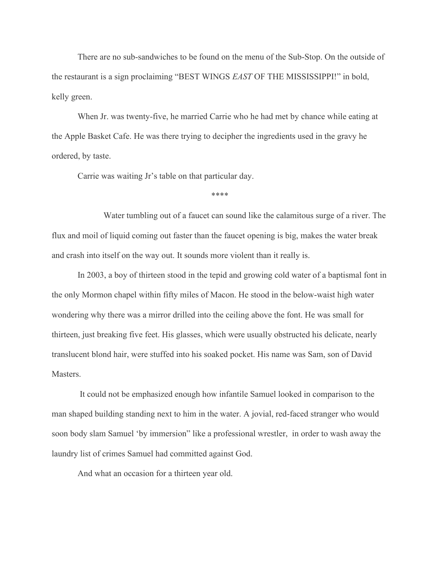There are no sub-sandwiches to be found on the menu of the Sub-Stop. On the outside of the restaurant is a sign proclaiming "BEST WINGS *EAST* OF THE MISSISSIPPI!" in bold, kelly green.

When Jr. was twenty-five, he married Carrie who he had met by chance while eating at the Apple Basket Cafe. He was there trying to decipher the ingredients used in the gravy he ordered, by taste.

Carrie was waiting Jr's table on that particular day.

\*\*\*\*

Water tumbling out of a faucet can sound like the calamitous surge of a river. The flux and moil of liquid coming out faster than the faucet opening is big, makes the water break and crash into itself on the way out. It sounds more violent than it really is.

In 2003, a boy of thirteen stood in the tepid and growing cold water of a baptismal font in the only Mormon chapel within fifty miles of Macon. He stood in the below-waist high water wondering why there was a mirror drilled into the ceiling above the font. He was small for thirteen, just breaking five feet. His glasses, which were usually obstructed his delicate, nearly translucent blond hair, were stuffed into his soaked pocket. His name was Sam, son of David Masters.

It could not be emphasized enough how infantile Samuel looked in comparison to the man shaped building standing next to him in the water. A jovial, red-faced stranger who would soon body slam Samuel 'by immersion" like a professional wrestler, in order to wash away the laundry list of crimes Samuel had committed against God.

And what an occasion for a thirteen year old.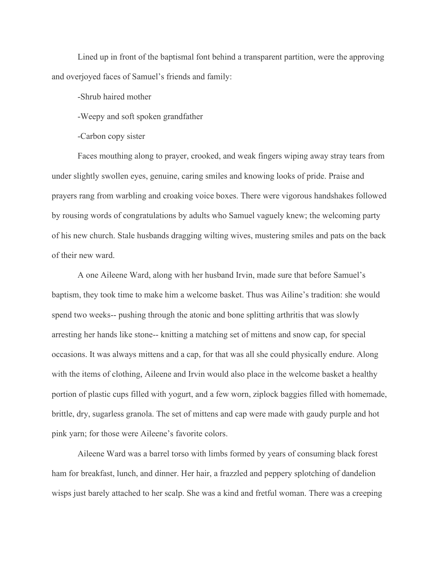Lined up in front of the baptismal font behind a transparent partition, were the approving and overjoyed faces of Samuel's friends and family:

-Shrub haired mother

-Weepy and soft spoken grandfather

-Carbon copy sister

Faces mouthing along to prayer, crooked, and weak fingers wiping away stray tears from under slightly swollen eyes, genuine, caring smiles and knowing looks of pride. Praise and prayers rang from warbling and croaking voice boxes. There were vigorous handshakes followed by rousing words of congratulations by adults who Samuel vaguely knew; the welcoming party of his new church. Stale husbands dragging wilting wives, mustering smiles and pats on the back of their new ward.

A one Aileene Ward, along with her husband Irvin, made sure that before Samuel's baptism, they took time to make him a welcome basket. Thus was Ailine's tradition: she would spend two weeks-- pushing through the atonic and bone splitting arthritis that was slowly arresting her hands like stone-- knitting a matching set of mittens and snow cap, for special occasions. It was always mittens and a cap, for that was all she could physically endure. Along with the items of clothing, Aileene and Irvin would also place in the welcome basket a healthy portion of plastic cups filled with yogurt, and a few worn, ziplock baggies filled with homemade, brittle, dry, sugarless granola. The set of mittens and cap were made with gaudy purple and hot pink yarn; for those were Aileene's favorite colors.

Aileene Ward was a barrel torso with limbs formed by years of consuming black forest ham for breakfast, lunch, and dinner. Her hair, a frazzled and peppery splotching of dandelion wisps just barely attached to her scalp. She was a kind and fretful woman. There was a creeping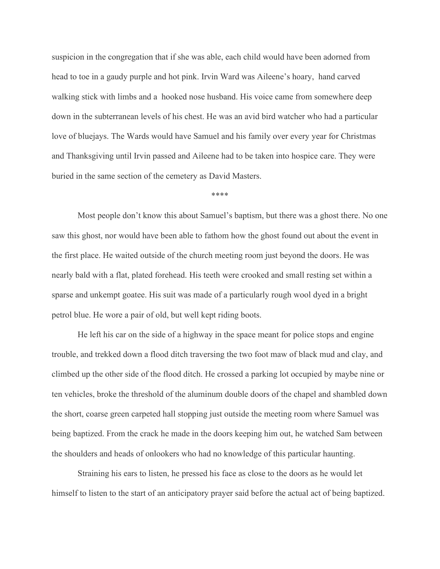suspicion in the congregation that if she was able, each child would have been adorned from head to toe in a gaudy purple and hot pink. Irvin Ward was Aileene's hoary, hand carved walking stick with limbs and a hooked nose husband. His voice came from somewhere deep down in the subterranean levels of his chest. He was an avid bird watcher who had a particular love of bluejays. The Wards would have Samuel and his family over every year for Christmas and Thanksgiving until Irvin passed and Aileene had to be taken into hospice care. They were buried in the same section of the cemetery as David Masters.

\*\*\*\*

Most people don't know this about Samuel's baptism, but there was a ghost there. No one saw this ghost, nor would have been able to fathom how the ghost found out about the event in the first place. He waited outside of the church meeting room just beyond the doors. He was nearly bald with a flat, plated forehead. His teeth were crooked and small resting set within a sparse and unkempt goatee. His suit was made of a particularly rough wool dyed in a bright petrol blue. He wore a pair of old, but well kept riding boots.

He left his car on the side of a highway in the space meant for police stops and engine trouble, and trekked down a flood ditch traversing the two foot maw of black mud and clay, and climbed up the other side of the flood ditch. He crossed a parking lot occupied by maybe nine or ten vehicles, broke the threshold of the aluminum double doors of the chapel and shambled down the short, coarse green carpeted hall stopping just outside the meeting room where Samuel was being baptized. From the crack he made in the doors keeping him out, he watched Sam between the shoulders and heads of onlookers who had no knowledge of this particular haunting.

Straining his ears to listen, he pressed his face as close to the doors as he would let himself to listen to the start of an anticipatory prayer said before the actual act of being baptized.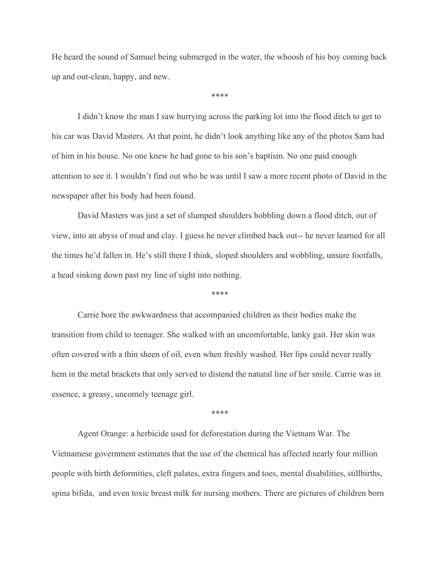He heard the sound of Samuel being submerged in the water, the whoosh of his boy coming back up and out-clean, happy, and new.

\*\*\*\*

I didn't know the man I saw hurrying across the parking lot into the flood ditch to get to his car was David Masters. At that point, he didn't look anything like any of the photos Sam had of him in his house. No one knew he had gone to his son's baptism. No one paid enough attention to see it. I wouldn't find out who he was until I saw a more recent photo of David in the newspaper after his body had been found.

David Masters was just a set of slumped shoulders hobbling down a flood ditch, out of view, into an abyss of mud and clay. I guess he never climbed back out-- he never learned for all the times he'd fallen in. He's still there I think, sloped shoulders and wobbling, unsure footfalls, a head sinking down past my line of sight into nothing.

\*\*\*\*

Carrie bore the awkwardness that accompanied children as their bodies make the transition from child to teenager. She walked with an uncomfortable, lanky gait. Her skin was often covered with a thin sheen of oil, even when freshly washed. Her lips could never really hem in the metal brackets that only served to distend the natural line of her smile. Carrie was in essence, a greasy, uncomely teenage girl.

\*\*\*\*

Agent Orange: a herbicide used for deforestation during the Vietnam War. The Vietnamese government estimates that the use of the chemical has affected nearly four million people with birth deformities, cleft palates, extra fingers and toes, mental disabilities, stillbirths, spina bifida, and even toxic breast milk for nursing mothers. There are pictures of children born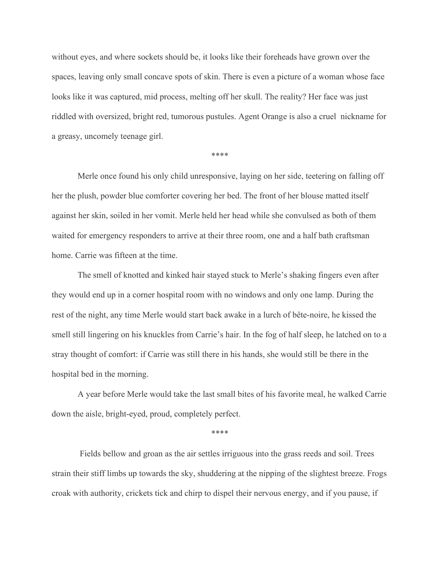without eyes, and where sockets should be, it looks like their foreheads have grown over the spaces, leaving only small concave spots of skin. There is even a picture of a woman whose face looks like it was captured, mid process, melting off her skull. The reality? Her face was just riddled with oversized, bright red, tumorous pustules. Agent Orange is also a cruel nickname for a greasy, uncomely teenage girl.

\*\*\*\*

Merle once found his only child unresponsive, laying on her side, teetering on falling off her the plush, powder blue comforter covering her bed. The front of her blouse matted itself against her skin, soiled in her vomit. Merle held her head while she convulsed as both of them waited for emergency responders to arrive at their three room, one and a half bath craftsman home. Carrie was fifteen at the time.

The smell of knotted and kinked hair stayed stuck to Merle's shaking fingers even after they would end up in a corner hospital room with no windows and only one lamp. During the rest of the night, any time Merle would start back awake in a lurch of bête-noire, he kissed the smell still lingering on his knuckles from Carrie's hair. In the fog of half sleep, he latched on to a stray thought of comfort: if Carrie was still there in his hands, she would still be there in the hospital bed in the morning.

A year before Merle would take the last small bites of his favorite meal, he walked Carrie down the aisle, bright-eyed, proud, completely perfect.

\*\*\*\*

Fields bellow and groan as the air settles irriguous into the grass reeds and soil. Trees strain their stiff limbs up towards the sky, shuddering at the nipping of the slightest breeze. Frogs croak with authority, crickets tick and chirp to dispel their nervous energy, and if you pause, if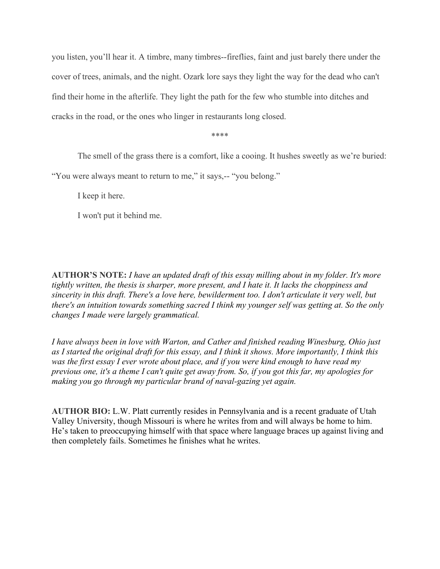you listen, you'll hear it. A timbre, many timbres--fireflies, faint and just barely there under the cover of trees, animals, and the night. Ozark lore says they light the way for the dead who can't find their home in the afterlife. They light the path for the few who stumble into ditches and cracks in the road, or the ones who linger in restaurants long closed.

\*\*\*\*

The smell of the grass there is a comfort, like a cooing. It hushes sweetly as we're buried:

"You were always meant to return to me," it says,-- "you belong."

I keep it here.

I won't put it behind me.

**AUTHOR'S NOTE:** *I have an updated draft of this essay milling about in my folder. It's more tightly written, the thesis is sharper, more present, and I hate it. It lacks the choppiness and sincerity in this draft. There's a love here, bewilderment too. I don't articulate it very well, but there's an intuition towards something sacred I think my younger self was getting at. So the only changes I made were largely grammatical.*

*I have always been in love with Warton, and Cather and finished reading Winesburg, Ohio just as I started the original draft for this essay, and I think it shows. More importantly, I think this was the first essay I ever wrote about place, and if you were kind enough to have read my previous one, it's a theme I can't quite get away from. So, if you got this far, my apologies for making you go through my particular brand of naval-gazing yet again.*

**AUTHOR BIO:** L.W. Platt currently resides in Pennsylvania and is a recent graduate of Utah Valley University, though Missouri is where he writes from and will always be home to him. He's taken to preoccupying himself with that space where language braces up against living and then completely fails. Sometimes he finishes what he writes.